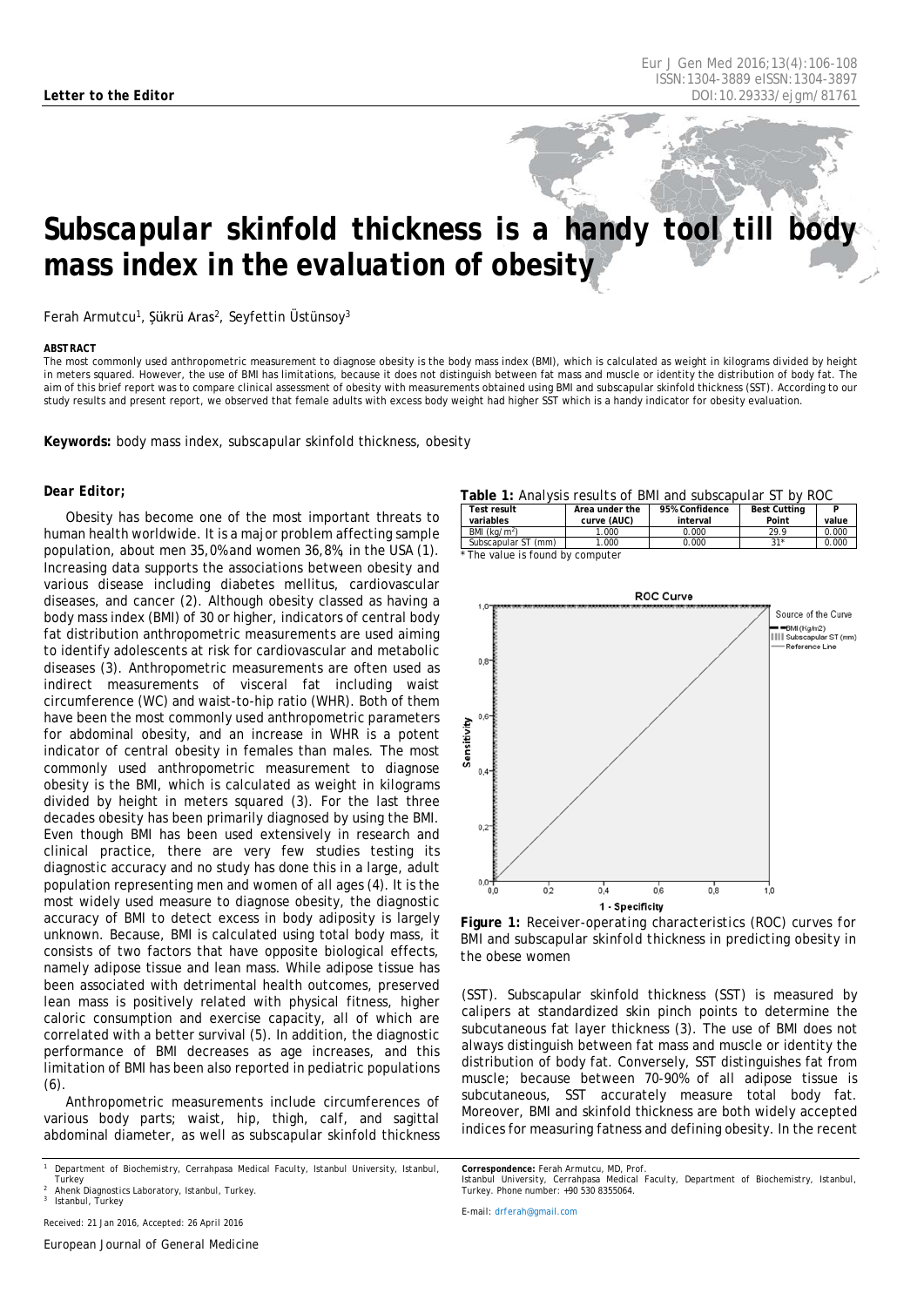# *Subscapular skinfold thickness is a handy tool till body mass index in the evaluation of obesity*

Ferah Armutcu<sup>1</sup>, Şükrü Aras<sup>2</sup>, Seyfettin Üstünsoy<sup>3</sup>

#### <span id="page-0-0"></span>*ABSTRACT*

The most commonly used anthropometric measurement to diagnose obesity is the body mass index (BMI), which is calculated as weight in kilograms divided by height in meters squared. However, the use of BMI has limitations, because it does not distinguish between fat mass and muscle or identity the distribution of body fat. The aim of this brief report was to compare clinical assessment of obesity with measurements obtained using BMI and subscapular skinfold thickness (SST). According to our study results and present report, we observed that female adults with excess body weight had higher SST which is a handy indicator for obesity evaluation.

**Keywords:** body mass index, subscapular skinfold thickness, obesity

### *Dear Editor;*

Obesity has become one of the most important threats to human health worldwide. It is a major problem affecting sample population, about men 35,0% and women 36,8%, in the USA (1). Increasing data supports the associations between obesity and various disease including diabetes mellitus, cardiovascular diseases, and cancer (2). Although obesity classed as having a body mass index (BMI) of 30 or higher, indicators of central body fat distribution anthropometric measurements are used aiming to identify adolescents at risk for cardiovascular and metabolic diseases (3). Anthropometric measurements are often used as indirect measurements of visceral fat including waist circumference (WC) and waist-to-hip ratio (WHR). Both of them have been the most commonly used anthropometric parameters for abdominal obesity, and an increase in WHR is a potent indicator of central obesity in females than males. The most commonly used anthropometric measurement to diagnose obesity is the BMI, which is calculated as weight in kilograms divided by height in meters squared (3). For the last three decades obesity has been primarily diagnosed by using the BMI. Even though BMI has been used extensively in research and clinical practice, there are very few studies testing its diagnostic accuracy and no study has done this in a large, adult population representing men and women of all ages (4). It is the most widely used measure to diagnose obesity, the diagnostic accuracy of BMI to detect excess in body adiposity is largely unknown. Because, BMI is calculated using total body mass, it consists of two factors that have opposite biological effects, namely adipose tissue and lean mass. While adipose tissue has been associated with detrimental health outcomes, preserved lean mass is positively related with physical fitness, higher caloric consumption and exercise capacity, all of which are correlated with a better survival (5). In addition, the diagnostic performance of BMI decreases as age increases, and this limitation of BMI has been also reported in pediatric populations  $(6)$ 

Anthropometric measurements include circumferences of various body parts; waist, hip, thigh, calf, and sagittal abdominal diameter, as well as subscapular skinfold thickness

*<sup>1</sup> Department of Biochemistry, Cerrahpasa Medical Faculty, Istanbul University, Istanbul, Turkey*

*Received: 21 Jan 2016, Accepted: 26 April 2016*

#### **Table 1:** *Analysis results of BMI and subscapular ST by ROC*

| <b>Test result</b><br>variables | Area under the<br>curve (AUC) | 95% Confidence<br>interval | <b>Best Cutting</b><br>Point | value |  |
|---------------------------------|-------------------------------|----------------------------|------------------------------|-------|--|
| BMI $(kq/m2)$                   | 1.000                         | 0.000                      | 29.9                         | 0.000 |  |
| Subscapular ST (mm)             | 1.000                         | 0.000                      | $21*$                        | 0.000 |  |
| The value is found by committee |                               |                            |                              |       |  |





**Figure 1:** *Receiver-operating characteristics (ROC) curves for BMI and subscapular skinfold thickness in predicting obesity in the obese women*

(SST). Subscapular skinfold thickness (SST) is measured by calipers at standardized skin pinch points to determine the subcutaneous fat layer thickness (3). The use of BMI does not always distinguish between fat mass and muscle or identity the distribution of body fat. Conversely, SST distinguishes fat from muscle; because between 70-90% of all adipose tissue is subcutaneous, SST accurately measure total body fat. Moreover, BMI and skinfold thickness are both widely accepted indices for measuring fatness and defining obesity. In the recent

*Correspondence: Ferah Armutcu, MD, Prof.*

*Istanbul University, Cerrahpasa Medical Faculty, Department of Biochemistry, Istanbul, Turkey. Phone number: +90 530 8355064.*

*E-mail[: drferah@gmail.com](mailto:drferah@gmail.com)*

*<sup>2</sup> Ahenk Diagnostics Laboratory, Istanbul, Turkey. <sup>3</sup> Istanbul, Turkey*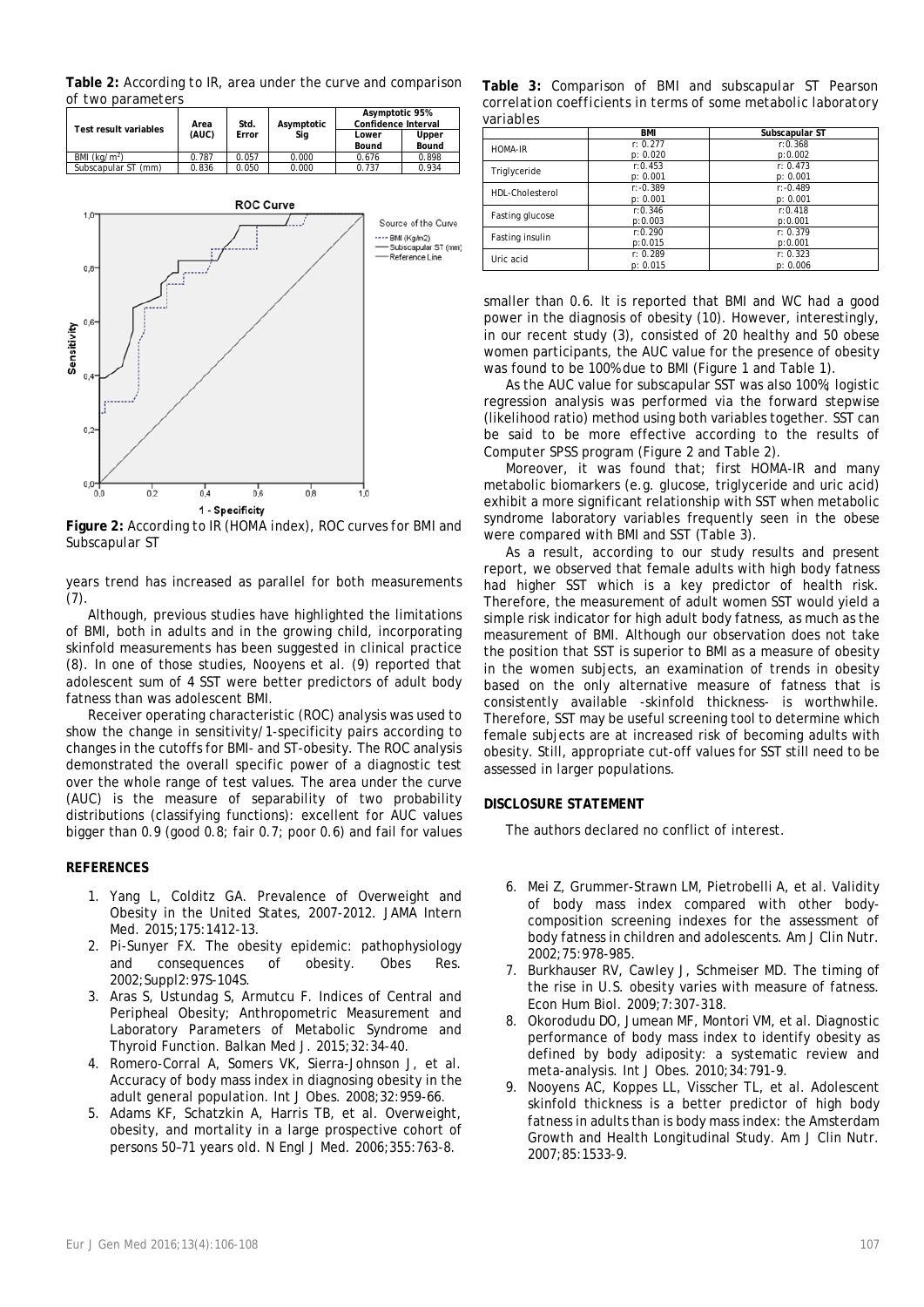**Table 2:** *According to IR, area under the curve and comparison of two parameters*

| Test result variables | Area<br>(AUC) | Std.<br>Error | Asymptotic<br>Sig | Asymptotic 95%<br>Confidence Interval |                |
|-----------------------|---------------|---------------|-------------------|---------------------------------------|----------------|
|                       |               |               |                   | Lower<br>Bound                        | Upper<br>Bound |
| BMI $(ka/m2)$         | 0.787         | 0.057         | 0.000             | 0.676                                 | 0.898          |
| Subscapular ST (mm)   | 0.836         | 0.050         | 0.000             | 0.737                                 | 0.934          |



**Figure 2:** *According to IR (HOMA index), ROC curves for BMI and Subscapular ST*

years trend has increased as parallel for both measurements (7).

Although, previous studies have highlighted the limitations of BMI, both in adults and in the growing child, incorporating skinfold measurements has been suggested in clinical practice (8). In one of those studies, Nooyens et al. (9) reported that adolescent sum of 4 SST were better predictors of adult body fatness than was adolescent BMI.

Receiver operating characteristic (ROC) analysis was used to show the change in sensitivity/1-specificity pairs according to changes in the cutoffs for BMI- and ST-obesity. The ROC analysis demonstrated the overall specific power of a diagnostic test over the whole range of test values. The area under the curve (AUC) is the measure of separability of two probability distributions (classifying functions): excellent for AUC values bigger than 0.9 (good 0.8; fair 0.7; poor 0.6) and fail for values

## **REFERENCES**

- 1. Yang L, Colditz GA. Prevalence of Overweight and Obesity in the United States, 2007-2012. JAMA Intern Med. 2015;175:1412-13.
- 2. Pi-Sunyer FX. The obesity epidemic: pathophysiology and consequences of obesity. Obes Res. 2002;Suppl2:97S-104S.
- 3. Aras S, Ustundag S, Armutcu F. Indices of Central and Peripheal Obesity; Anthropometric Measurement and Laboratory Parameters of Metabolic Syndrome and Thyroid Function. Balkan Med J. 2015;32:34-40.
- 4. Romero-Corral A, Somers VK, Sierra-Johnson J, et al. Accuracy of body mass index in diagnosing obesity in the adult general population. Int J Obes. 2008;32:959-66.
- 5. Adams KF, Schatzkin A, Harris TB, et al. Overweight, obesity, and mortality in a large prospective cohort of persons 50–71 years old. N Engl J Med. 2006;355:763-8.

**Table 3:** *Comparison of BMI and subscapular ST Pearson correlation coefficients in terms of some metabolic laboratory variables*

|                 | <b>BMI</b>  | Subscapular ST |
|-----------------|-------------|----------------|
| HOMA-IR         | r: 0.277    | r:0.368        |
|                 | p: 0.020    | p:0.002        |
| Triglyceride    | r: 0.453    | r: 0.473       |
|                 | p: 0.001    | p: 0.001       |
| HDL-Cholesterol | $r: -0.389$ | $r: -0.489$    |
|                 | p: 0.001    | p: 0.001       |
| Fasting glucose | r:0.346     | r:0.418        |
|                 | p:0.003     | p:0.001        |
| Fasting insulin | r:0.290     | r: 0.379       |
|                 | p:0.015     | p:0.001        |
| Uric acid       | r: 0.289    | r: 0.323       |
|                 | p: 0.015    | p: 0.006       |

smaller than 0.6. It is reported that BMI and WC had a good power in the diagnosis of obesity (10). However, interestingly, in our recent study (3), consisted of 20 healthy and 50 obese women participants, the AUC value for the presence of obesity was found to be 100% due to BMI (Figure 1 and Table 1).

As the AUC value for subscapular SST was also 100%; logistic regression analysis was performed via the forward stepwise (likelihood ratio) method using both variables together. SST can be said to be more effective according to the results of Computer SPSS program (Figure 2 and Table 2).

Moreover, it was found that; first HOMA-IR and many metabolic biomarkers (e.g. glucose, triglyceride and uric acid) exhibit a more significant relationship with SST when metabolic syndrome laboratory variables frequently seen in the obese were compared with BMI and SST (Table 3).

As a result, according to our study results and present report, we observed that female adults with high body fatness had higher SST which is a key predictor of health risk. Therefore, the measurement of adult women SST would yield a simple risk indicator for high adult body fatness, as much as the measurement of BMI. Although our observation does not take the position that SST is superior to BMI as a measure of obesity in the women subjects, an examination of trends in obesity based on the only alternative measure of fatness that is consistently available -skinfold thickness- is worthwhile. Therefore, SST may be useful screening tool to determine which female subjects are at increased risk of becoming adults with obesity. Still, appropriate cut-off values for SST still need to be assessed in larger populations.

## **DISCLOSURE STATEMENT**

The authors declared no conflict of interest.

- 6. Mei Z, Grummer-Strawn LM, Pietrobelli A, et al. Validity of body mass index compared with other bodycomposition screening indexes for the assessment of body fatness in children and adolescents. Am J Clin Nutr. 2002;75:978-985.
- 7. Burkhauser RV, Cawley J, Schmeiser MD. The timing of the rise in U.S. obesity varies with measure of fatness. Econ Hum Biol. 2009;7:307-318.
- 8. Okorodudu DO, Jumean MF, Montori VM, et al. Diagnostic performance of body mass index to identify obesity as defined by body adiposity: a systematic review and meta-analysis. Int J Obes. 2010;34:791-9.
- 9. Nooyens AC, Koppes LL, Visscher TL, et al. Adolescent skinfold thickness is a better predictor of high body fatness in adults than is body mass index: the Amsterdam Growth and Health Longitudinal Study. Am J Clin Nutr. 2007;85:1533-9.